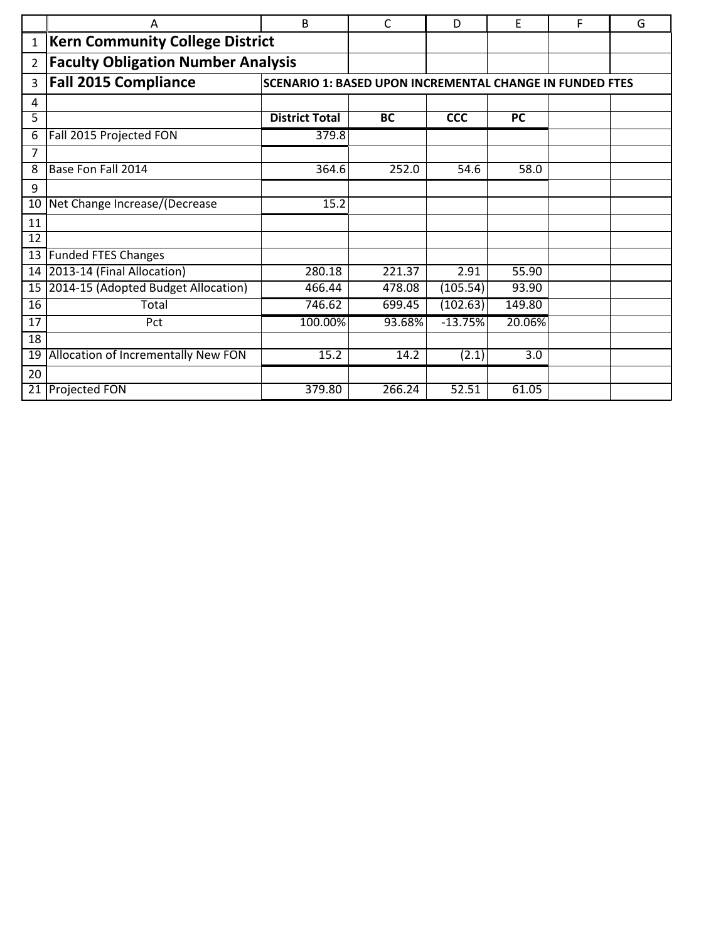|                 | A                                         | B                                                               | C         | D          | E         | F | G |  |
|-----------------|-------------------------------------------|-----------------------------------------------------------------|-----------|------------|-----------|---|---|--|
| $\mathbf{1}$    | <b>Kern Community College District</b>    |                                                                 |           |            |           |   |   |  |
| $\overline{2}$  | <b>Faculty Obligation Number Analysis</b> |                                                                 |           |            |           |   |   |  |
| 3               | <b>Fall 2015 Compliance</b>               | <b>SCENARIO 1: BASED UPON INCREMENTAL CHANGE IN FUNDED FTES</b> |           |            |           |   |   |  |
| 4               |                                           |                                                                 |           |            |           |   |   |  |
| 5               |                                           | <b>District Total</b>                                           | <b>BC</b> | <b>CCC</b> | <b>PC</b> |   |   |  |
| 6               | Fall 2015 Projected FON                   | 379.8                                                           |           |            |           |   |   |  |
| $\overline{7}$  |                                           |                                                                 |           |            |           |   |   |  |
| 8               | Base Fon Fall 2014                        | 364.6                                                           | 252.0     | 54.6       | 58.0      |   |   |  |
| 9               |                                           |                                                                 |           |            |           |   |   |  |
| 10              | Net Change Increase/(Decrease             | 15.2                                                            |           |            |           |   |   |  |
| 11              |                                           |                                                                 |           |            |           |   |   |  |
| 12              |                                           |                                                                 |           |            |           |   |   |  |
| 13              | <b>Funded FTES Changes</b>                |                                                                 |           |            |           |   |   |  |
| 14              | 2013-14 (Final Allocation)                | 280.18                                                          | 221.37    | 2.91       | 55.90     |   |   |  |
| 15 <sub>1</sub> | 2014-15 (Adopted Budget Allocation)       | 466.44                                                          | 478.08    | (105.54)   | 93.90     |   |   |  |
| 16              | Total                                     | 746.62                                                          | 699.45    | (102.63)   | 149.80    |   |   |  |
| 17              | Pct                                       | 100.00%                                                         | 93.68%    | $-13.75%$  | 20.06%    |   |   |  |
| 18              |                                           |                                                                 |           |            |           |   |   |  |
| 19              | Allocation of Incrementally New FON       | 15.2                                                            | 14.2      | (2.1)      | 3.0       |   |   |  |
| 20              |                                           |                                                                 |           |            |           |   |   |  |
| 21              | <b>Projected FON</b>                      | 379.80                                                          | 266.24    | 52.51      | 61.05     |   |   |  |